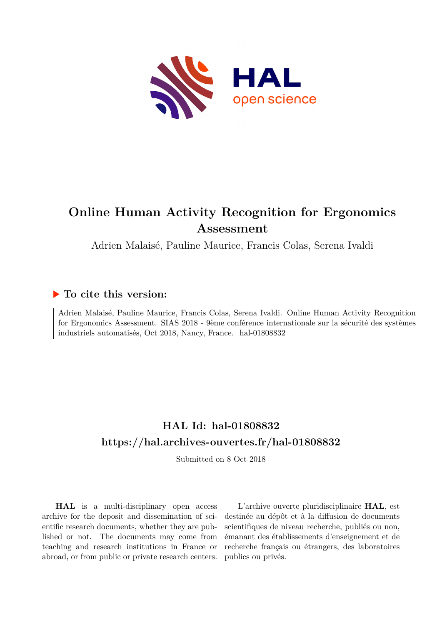

## **Online Human Activity Recognition for Ergonomics Assessment**

Adrien Malaisé, Pauline Maurice, Francis Colas, Serena Ivaldi

## **To cite this version:**

Adrien Malaisé, Pauline Maurice, Francis Colas, Serena Ivaldi. Online Human Activity Recognition for Ergonomics Assessment. SIAS 2018 - 9ème conférence internationale sur la sécurité des systèmes industriels automatisés, Oct 2018, Nancy, France. hal-01808832

## **HAL Id: hal-01808832 <https://hal.archives-ouvertes.fr/hal-01808832>**

Submitted on 8 Oct 2018

**HAL** is a multi-disciplinary open access archive for the deposit and dissemination of scientific research documents, whether they are published or not. The documents may come from teaching and research institutions in France or abroad, or from public or private research centers.

L'archive ouverte pluridisciplinaire **HAL**, est destinée au dépôt et à la diffusion de documents scientifiques de niveau recherche, publiés ou non, émanant des établissements d'enseignement et de recherche français ou étrangers, des laboratoires publics ou privés.